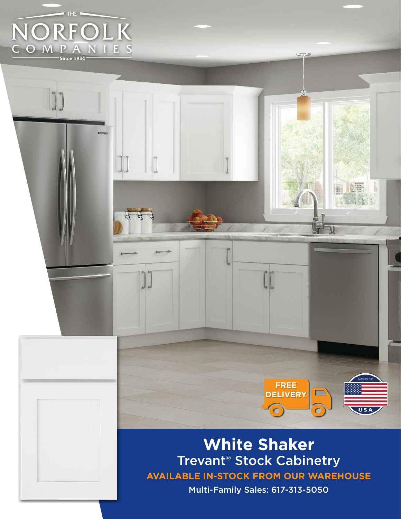

**AVAILABLE IN-STOCK FROM OUR WAREHOUSE White Shaker** Trevant® Stock Cabinetry

**FREE DELIVERY**

 $\overline{\mathbf{C}}$ 

AT

s an D

Multi-Family Sales: 617-313-5050